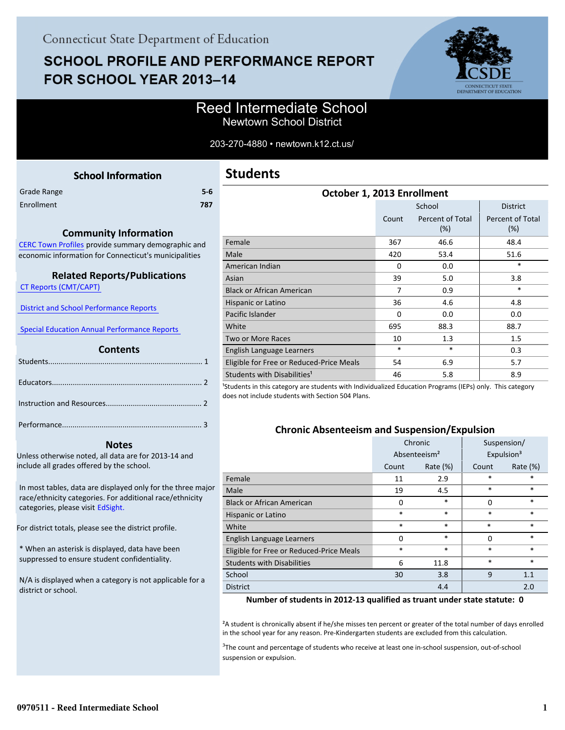# **SCHOOL PROFILE AND PERFORMANCE REPORT** FOR SCHOOL YEAR 2013-14



## Reed Intermediate School Newtown School District

#### 203-270-4880 • newtown.k12.ct.us/

<span id="page-0-0"></span>

| <b>School Information</b>                             | <b>Stude</b>             |
|-------------------------------------------------------|--------------------------|
| $5-6$<br>Grade Range                                  |                          |
| Enrollment<br>787                                     |                          |
|                                                       |                          |
| <b>Community Information</b>                          |                          |
| CERC Town Profiles provide summary demographic and    | Female                   |
| economic information for Connecticut's municipalities | Male                     |
|                                                       | American                 |
| <b>Related Reports/Publications</b>                   | Asian                    |
| <b>CT Reports (CMT/CAPT)</b>                          | Black or A               |
|                                                       | Hispanic o               |
| <b>District and School Performance Reports</b>        | Pacific Isla             |
| <b>Special Education Annual Performance Reports</b>   | White                    |
|                                                       | Two or M                 |
| <b>Contents</b>                                       | English La               |
|                                                       | Eligible fo              |
|                                                       | Students <sup>'</sup>    |
|                                                       | <sup>1</sup> Students in |
|                                                       | does not ind             |
|                                                       |                          |
|                                                       |                          |
|                                                       |                          |

#### **Notes**

Unless otherwise noted, all data are for 2013-14 and include all grades offered by the school.

[In most tables, data are displayed only for the three major](http://edsight.ct.gov) race/ethnicity categories. For additional race/ethnicity categories, please visit EdSight.

For district totals, please see the district profile.

\* When an asterisk is displayed, data have been suppressed to ensure student confidentiality.

N/A is displayed when a category is not applicable for a district or school.

| School<br><b>District</b><br>Percent of Total<br>Percent of Total<br>Count<br>(%)<br>(%)<br>Female<br>367<br>46.6<br>48.4<br>420<br>51.6<br>Male<br>53.4<br>$\ast$<br>American Indian<br>0.0<br>$\Omega$<br>5.0<br>39<br>3.8<br>Asian<br>$\ast$<br>7<br><b>Black or African American</b><br>0.9<br>36<br>4.6<br>4.8<br>Hispanic or Latino<br>Pacific Islander<br>0.0<br>$\Omega$<br>0.0<br>695<br>88.3<br>88.7<br>White | October 1, 2013 Enrollment |  |  |
|-------------------------------------------------------------------------------------------------------------------------------------------------------------------------------------------------------------------------------------------------------------------------------------------------------------------------------------------------------------------------------------------------------------------------|----------------------------|--|--|
|                                                                                                                                                                                                                                                                                                                                                                                                                         |                            |  |  |
|                                                                                                                                                                                                                                                                                                                                                                                                                         |                            |  |  |
|                                                                                                                                                                                                                                                                                                                                                                                                                         |                            |  |  |
|                                                                                                                                                                                                                                                                                                                                                                                                                         |                            |  |  |
|                                                                                                                                                                                                                                                                                                                                                                                                                         |                            |  |  |
|                                                                                                                                                                                                                                                                                                                                                                                                                         |                            |  |  |
|                                                                                                                                                                                                                                                                                                                                                                                                                         |                            |  |  |
|                                                                                                                                                                                                                                                                                                                                                                                                                         |                            |  |  |
|                                                                                                                                                                                                                                                                                                                                                                                                                         |                            |  |  |
|                                                                                                                                                                                                                                                                                                                                                                                                                         |                            |  |  |
| 1.3<br>10<br>1.5<br>Two or More Races                                                                                                                                                                                                                                                                                                                                                                                   |                            |  |  |
| $\ast$<br>$\ast$<br>0.3<br>English Language Learners                                                                                                                                                                                                                                                                                                                                                                    |                            |  |  |
| Eligible for Free or Reduced-Price Meals<br>6.9<br>5.7<br>54                                                                                                                                                                                                                                                                                                                                                            |                            |  |  |
| Students with Disabilities <sup>1</sup><br>8.9<br>46<br>5.8                                                                                                                                                                                                                                                                                                                                                             |                            |  |  |

this category are students with Individualized Education Programs (IEPs) only. This category clude students with Section 504 Plans.

#### **Chronic Absenteeism and Suspension/Expulsion**

|                                          |          | Chronic                  |          | Suspension/            |
|------------------------------------------|----------|--------------------------|----------|------------------------|
|                                          |          | Absenteeism <sup>2</sup> |          | Expulsion <sup>3</sup> |
|                                          | Count    | Rate $(\%)$              | Count    | Rate (%)               |
| Female                                   | 11       | 2.9                      | $\ast$   | *                      |
| Male                                     | 19       | 4.5                      | $\ast$   | *                      |
| <b>Black or African American</b>         | 0        | $\ast$                   | $\Omega$ | $\ast$                 |
| Hispanic or Latino                       | $\ast$   | $\ast$                   | $\ast$   | $\ast$                 |
| White                                    | $\ast$   | $\ast$                   | $\ast$   | $\ast$                 |
| English Language Learners                | $\Omega$ | *                        | $\Omega$ | *                      |
| Eligible for Free or Reduced-Price Meals | $\ast$   | *                        | *        | *                      |
| <b>Students with Disabilities</b>        | 6        | 11.8                     | *        | *                      |
| School                                   | 30       | 3.8                      | 9        | 1.1                    |
| <b>District</b>                          |          | 4.4                      |          | 2.0                    |

#### **Number of students in 2012-13 qualified as truant under state statute: 0**

²A student is chronically absent if he/she misses ten percent or greater of the total number of days enrolled in the school year for any reason. Pre-Kindergarten students are excluded from this calculation.

 $3$ The count and percentage of students who receive at least one in-school suspension, out-of-school suspension or expulsion.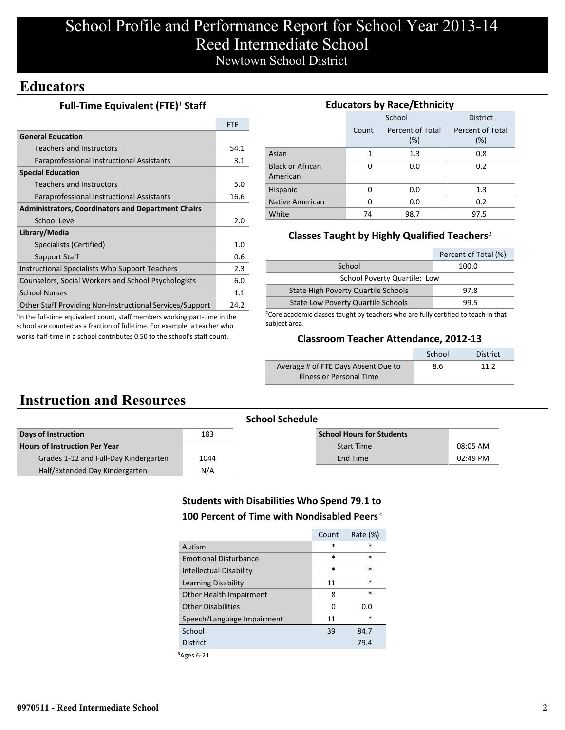# School Profile and Performance Report for School Year 2013-14 Reed Intermediate School Newtown School District

## **Educators**

#### **Full-Time Equivalent (FTE)<sup>1</sup> Staff**

|                                                           | <b>FTE</b> |
|-----------------------------------------------------------|------------|
| <b>General Education</b>                                  |            |
| Teachers and Instructors                                  | 54.1       |
| Paraprofessional Instructional Assistants                 | 3.1        |
| <b>Special Education</b>                                  |            |
| <b>Teachers and Instructors</b>                           | 5.0        |
| Paraprofessional Instructional Assistants                 | 16.6       |
| <b>Administrators, Coordinators and Department Chairs</b> |            |
| School Level                                              | 2.0        |
| Library/Media                                             |            |
| Specialists (Certified)                                   | 1.0        |
| <b>Support Staff</b>                                      | 0.6        |
| Instructional Specialists Who Support Teachers            | 2.3        |
| Counselors, Social Workers and School Psychologists       | 6.0        |
| <b>School Nurses</b>                                      | 1.1        |
| Other Staff Providing Non-Instructional Services/Support  | 24.2       |

<sup>1</sup>In the full-time equivalent count, staff members working part-time in the school are counted as a fraction of full-time. For example, a teacher who works half-time in a school contributes 0.50 to the school's staff count.

#### **Educators by Race/Ethnicity**

|                                     |       | School                     | <b>District</b>            |
|-------------------------------------|-------|----------------------------|----------------------------|
|                                     | Count | Percent of Total<br>$(\%)$ | Percent of Total<br>$(\%)$ |
| Asian                               | 1     | 1.3                        | 0.8                        |
| <b>Black or African</b><br>American | O     | 0.0                        | 0.2                        |
| Hispanic                            | ŋ     | 0.0                        | 1.3                        |
| Native American                     | O     | 0.0                        | 0.2                        |
| White                               | 74    | 98.7                       | 97.5                       |

#### **Classes Taught by Highly Qualified Teachers**²

|                                           | Percent of Total (%) |
|-------------------------------------------|----------------------|
| School                                    | 100.0                |
| School Poverty Quartile: Low              |                      |
| State High Poverty Quartile Schools       | 97.8                 |
| <b>State Low Poverty Quartile Schools</b> | 99.5                 |

²Core academic classes taught by teachers who are fully certified to teach in that subject area.

#### **Classroom Teacher Attendance, 2012-13**

|                                     | School | <b>District</b> |
|-------------------------------------|--------|-----------------|
| Average # of FTE Days Absent Due to | 8.6    | 11 2            |
| Illness or Personal Time            |        |                 |

## **Instruction and Resources**

|                                       |      | <b>School Schedule</b>           |            |
|---------------------------------------|------|----------------------------------|------------|
| Days of Instruction                   | 183  | <b>School Hours for Students</b> |            |
| Hours of Instruction Per Year         |      | <b>Start Time</b>                | 08:05 AM   |
| Grades 1-12 and Full-Day Kindergarten | 1044 | End Time                         | $02:49$ PM |
| Half/Extended Day Kindergarten        | N/A  |                                  |            |

#### **Students with Disabilities Who Spend 79.1 to 100 Percent of Time with Nondisabled Peers**⁴

|                              | Count  | Rate $(\%)$ |
|------------------------------|--------|-------------|
| Autism                       | $\ast$ | *           |
| <b>Emotional Disturbance</b> | $\ast$ | $\ast$      |
| Intellectual Disability      | $\ast$ | $\ast$      |
| Learning Disability          | 11     | $\ast$      |
| Other Health Impairment      | 8      | $\ast$      |
| <b>Other Disabilities</b>    | 0      | 0.0         |
| Speech/Language Impairment   | 11     | *           |
| School                       | 39     | 84.7        |
| <b>District</b>              |        | 79.4        |
|                              |        |             |

³Ages 6-21